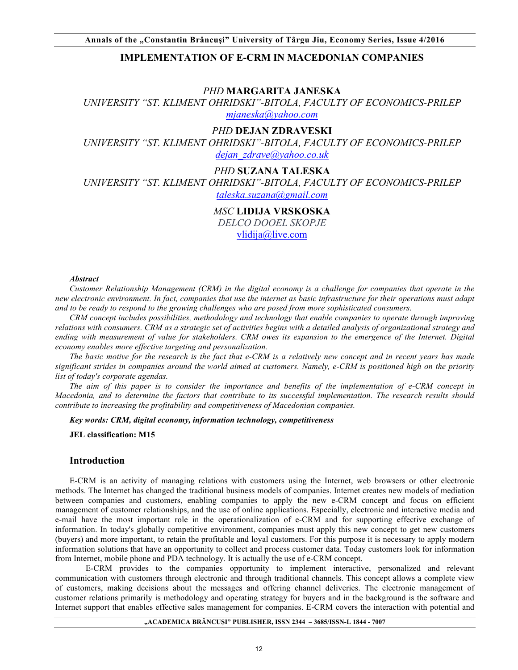# **IMPLEMENTATION OF E-CRM IN MACEDONIAN COMPANIES**

#### *PHD* **MARGARITA JANESKA**

*UNIVERSITY "ST. KLIMENT OHRIDSKI"-BITOLA, FACULTY OF ECONOMICS-PRILEP mjaneska@yahoo.com*

## *PHD* **DEJAN ZDRAVESKI**

*UNIVERSITY "ST. KLIMENT OHRIDSKI"-BITOLA, FACULTY OF ECONOMICS-PRILEP dejan\_zdrave@yahoo.co.uk*

# *PHD* **SUZANA TALESKA**

*UNIVERSITY "ST. KLIMENT OHRIDSKI"-BITOLA, FACULTY OF ECONOMICS-PRILEP* 

*taleska.suzana@gmail.com*

# *MSC* **LIDIJA VRSKOSKA**

*DELCO DOOEL SKOPJE* 

vlidija@live.com

#### *Abstract*

*Customer Relationship Management (CRM) in the digital economy is a challenge for companies that operate in the new electronic environment. In fact, companies that use the internet as basic infrastructure for their operations must adapt and to be ready to respond to the growing challenges who are posed from more sophisticated consumers.*

*CRM concept includes possibilities, methodology and technology that enable companies to operate through improving relations with consumers. CRM as a strategic set of activities begins with a detailed analysis of organizational strategy and* ending with measurement of value for stakeholders. CRM owes its expansion to the emergence of the Internet. Digital *economy enables more effective targeting and personalization.*

*The basic motive for the research is the fact that e-CRM is a relatively new concept and in recent years has made significant strides in companies around the world aimed at customers. Namely, e-CRM is positioned high on the priority list of today's corporate agendas.*

*The aim of this paper is to consider the importance and benefits of the implementation of e-CRM concept in Macedonia, and to determine the factors that contribute to its successful implementation. The research results should contribute to increasing the profitability and competitiveness of Macedonian companies.*

*Key words: CRM, digital economy, information technology, competitiveness*

**JEL classification: M15**

# **Introduction**

E-CRM is an activity of managing relations with customers using the Internet, web browsers or other electronic methods. The Internet has changed the traditional business models of companies. Internet creates new models of mediation between companies and customers, enabling companies to apply the new e-CRM concept and focus on efficient management of customer relationships, and the use of online applications. Especially, electronic and interactive media and e-mail have the most important role in the operationalization of e-CRM and for supporting effective exchange of information. In today's globally competitive environment, companies must apply this new concept to get new customers (buyers) and more important, to retain the profitable and loyal customers. For this purpose it is necessary to apply modern information solutions that have an opportunity to collect and process customer data. Today customers look for information from Internet, mobile phone and PDA technology. It is actually the use of e-CRM concept.

E-CRM provides to the companies opportunity to implement interactive, personalized and relevant communication with customers through electronic and through traditional channels. This concept allows a complete view of customers, making decisions about the messages and offering channel deliveries. The electronic management of customer relations primarily is methodology and operating strategy for buyers and in the background is the software and Internet support that enables effective sales management for companies. E-CRM covers the interaction with potential and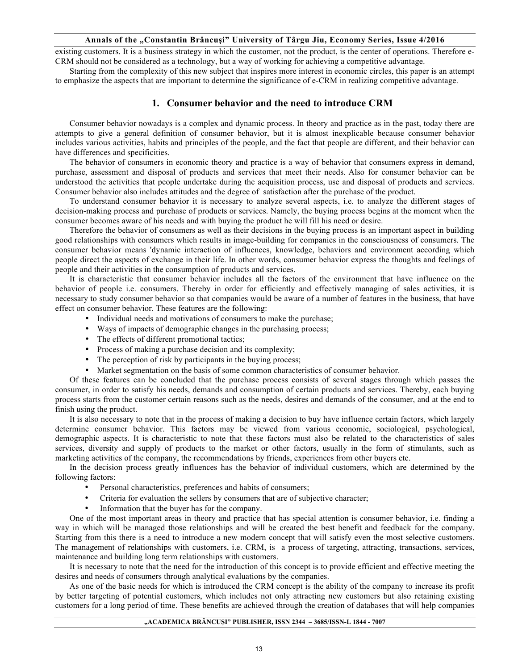existing customers. It is a business strategy in which the customer, not the product, is the center of operations. Therefore e-CRM should not be considered as a technology, but a way of working for achieving a competitive advantage.

Starting from the complexity of this new subject that inspires more interest in economic circles, this paper is an attempt to emphasize the aspects that are important to determine the significance of e-CRM in realizing competitive advantage.

# **1. Consumer behavior and the need to introduce CRM**

Consumer behavior nowadays is a complex and dynamic process. In theory and practice as in the past, today there are attempts to give a general definition of consumer behavior, but it is almost inexplicable because consumer behavior includes various activities, habits and principles of the people, and the fact that people are different, and their behavior can have differences and specificities.

The behavior of consumers in economic theory and practice is a way of behavior that consumers express in demand, purchase, assessment and disposal of products and services that meet their needs. Also for consumer behavior can be understood the activities that people undertake during the acquisition process, use and disposal of products and services. Consumer behavior also includes attitudes and the degree of satisfaction after the purchase of the product.

To understand consumer behavior it is necessary to analyze several aspects, i.e. to analyze the different stages of decision-making process and purchase of products or services. Namely, the buying process begins at the moment when the consumer becomes aware of his needs and with buying the product he will fill his need or desire.

Therefore the behavior of consumers as well as their decisions in the buying process is an important aspect in building good relationships with consumers which results in image-building for companies in the consciousness of consumers. The consumer behavior means 'dynamic interaction of influences, knowledge, behaviors and environment according which people direct the aspects of exchange in their life. In other words, consumer behavior express the thoughts and feelings of people and their activities in the consumption of products and services.

It is characteristic that consumer behavior includes all the factors of the environment that have influence on the behavior of people i.e. consumers. Thereby in order for efficiently and effectively managing of sales activities, it is necessary to study consumer behavior so that companies would be aware of a number of features in the business, that have effect on consumer behavior. These features are the following:

- Individual needs and motivations of consumers to make the purchase;
- Ways of impacts of demographic changes in the purchasing process;
- The effects of different promotional tactics;
- Process of making a purchase decision and its complexity;
- The perception of risk by participants in the buying process;
- Market segmentation on the basis of some common characteristics of consumer behavior.

Of these features can be concluded that the purchase process consists of several stages through which passes the consumer, in order to satisfy his needs, demands and consumption of certain products and services. Thereby, each buying process starts from the customer certain reasons such as the needs, desires and demands of the consumer, and at the end to finish using the product.

It is also necessary to note that in the process of making a decision to buy have influence certain factors, which largely determine consumer behavior. This factors may be viewed from various economic, sociological, psychological, demographic aspects. It is characteristic to note that these factors must also be related to the characteristics of sales services, diversity and supply of products to the market or other factors, usually in the form of stimulants, such as marketing activities of the company, the recommendations by friends, experiences from other buyers etc.

In the decision process greatly influences has the behavior of individual customers, which are determined by the following factors:

- Personal characteristics, preferences and habits of consumers;
- Criteria for evaluation the sellers by consumers that are of subjective character;
- Information that the buyer has for the company.

One of the most important areas in theory and practice that has special attention is consumer behavior, i.e. finding a way in which will be managed those relationships and will be created the best benefit and feedback for the company. Starting from this there is a need to introduce a new modern concept that will satisfy even the most selective customers. The management of relationships with customers, i.e. CRM, is a process of targeting, attracting, transactions, services, maintenance and building long term relationships with customers.

It is necessary to note that the need for the introduction of this concept is to provide efficient and effective meeting the desires and needs of consumers through analytical evaluations by the companies.

As one of the basic needs for which is introduced the CRM concept is the ability of the company to increase its profit by better targeting of potential customers, which includes not only attracting new customers but also retaining existing customers for a long period of time. These benefits are achieved through the creation of databases that will help companies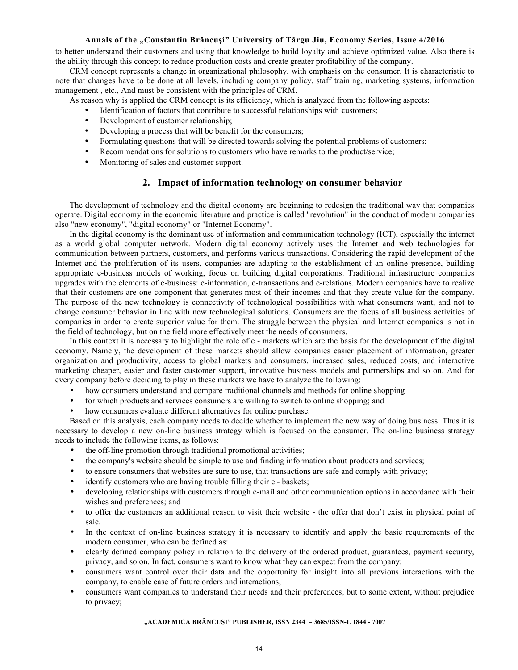to better understand their customers and using that knowledge to build loyalty and achieve optimized value. Also there is the ability through this concept to reduce production costs and create greater profitability of the company.

CRM concept represents a change in organizational philosophy, with emphasis on the consumer. It is characteristic to note that changes have to be done at all levels, including company policy, staff training, marketing systems, information management , etc., And must be consistent with the principles of CRM.

As reason why is applied the CRM concept is its efficiency, which is analyzed from the following aspects:

- Identification of factors that contribute to successful relationships with customers;
- Development of customer relationship;
- Developing a process that will be benefit for the consumers;
- Formulating questions that will be directed towards solving the potential problems of customers;
- Recommendations for solutions to customers who have remarks to the product/service;
- Monitoring of sales and customer support.

# **2. Impact of information technology on consumer behavior**

The development of technology and the digital economy are beginning to redesign the traditional way that companies operate. Digital economy in the economic literature and practice is called "revolution" in the conduct of modern companies also "new economy", "digital economy" or "Internet Economy".

In the digital economy is the dominant use of information and communication technology (ICT), especially the internet as a world global computer network. Modern digital economy actively uses the Internet and web technologies for communication between partners, customers, and performs various transactions. Considering the rapid development of the Internet and the proliferation of its users, companies are adapting to the establishment of an online presence, building appropriate e-business models of working, focus on building digital corporations. Traditional infrastructure companies upgrades with the elements of e-business: e-information, e-transactions and e-relations. Modern companies have to realize that their customers are one component that generates most of their incomes and that they create value for the company. The purpose of the new technology is connectivity of technological possibilities with what consumers want, and not to change consumer behavior in line with new technological solutions. Consumers are the focus of all business activities of companies in order to create superior value for them. The struggle between the physical and Internet companies is not in the field of technology, but on the field more effectively meet the needs of consumers.

In this context it is necessary to highlight the role of e - markets which are the basis for the development of the digital economy. Namely, the development of these markets should allow companies easier placement of information, greater organization and productivity, access to global markets and consumers, increased sales, reduced costs, and interactive marketing cheaper, easier and faster customer support, innovative business models and partnerships and so on. And for every company before deciding to play in these markets we have to analyze the following:

- how consumers understand and compare traditional channels and methods for online shopping
- for which products and services consumers are willing to switch to online shopping; and
- how consumers evaluate different alternatives for online purchase.

Based on this analysis, each company needs to decide whether to implement the new way of doing business. Thus it is necessary to develop a new on-line business strategy which is focused on the consumer. The on-line business strategy needs to include the following items, as follows:

- the off-line promotion through traditional promotional activities;
- the company's website should be simple to use and finding information about products and services;
- to ensure consumers that websites are sure to use, that transactions are safe and comply with privacy;
- identify customers who are having trouble filling their e baskets;
- developing relationships with customers through e-mail and other communication options in accordance with their wishes and preferences; and
- to offer the customers an additional reason to visit their website the offer that don't exist in physical point of sale.
- In the context of on-line business strategy it is necessary to identify and apply the basic requirements of the modern consumer, who can be defined as:
- clearly defined company policy in relation to the delivery of the ordered product, guarantees, payment security, privacy, and so on. In fact, consumers want to know what they can expect from the company;
- consumers want control over their data and the opportunity for insight into all previous interactions with the company, to enable ease of future orders and interactions;
- consumers want companies to understand their needs and their preferences, but to some extent, without prejudice to privacy;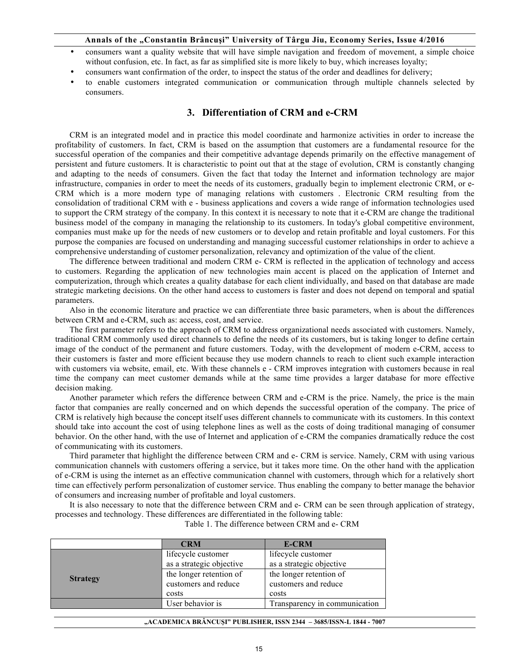- consumers want a quality website that will have simple navigation and freedom of movement, a simple choice without confusion, etc. In fact, as far as simplified site is more likely to buy, which increases loyalty;
- consumers want confirmation of the order, to inspect the status of the order and deadlines for delivery;
- to enable customers integrated communication or communication through multiple channels selected by consumers.

# **3. Differentiation of CRM and e-CRM**

CRM is an integrated model and in practice this model coordinate and harmonize activities in order to increase the profitability of customers. In fact, CRM is based on the assumption that customers are a fundamental resource for the successful operation of the companies and their competitive advantage depends primarily on the effective management of persistent and future customers. It is characteristic to point out that at the stage of evolution, CRM is constantly changing and adapting to the needs of consumers. Given the fact that today the Internet and information technology are major infrastructure, companies in order to meet the needs of its customers, gradually begin to implement electronic CRM, or e-CRM which is a more modern type of managing relations with customers . Electronic CRM resulting from the consolidation of traditional CRM with e - business applications and covers a wide range of information technologies used to support the CRM strategy of the company. In this context it is necessary to note that it e-CRM are change the traditional business model of the company in managing the relationship to its customers. In today's global competitive environment, companies must make up for the needs of new customers or to develop and retain profitable and loyal customers. For this purpose the companies are focused on understanding and managing successful customer relationships in order to achieve a comprehensive understanding of customer personalization, relevancy and optimization of the value of the client.

The difference between traditional and modern CRM e- CRM is reflected in the application of technology and access to customers. Regarding the application of new technologies main accent is placed on the application of Internet and computerization, through which creates a quality database for each client individually, and based on that database are made strategic marketing decisions. On the other hand access to customers is faster and does not depend on temporal and spatial parameters.

Also in the economic literature and practice we can differentiate three basic parameters, when is about the differences between CRM and e-CRM, such as: access, cost, and service.

The first parameter refers to the approach of CRM to address organizational needs associated with customers. Namely, traditional CRM commonly used direct channels to define the needs of its customers, but is taking longer to define certain image of the conduct of the permanent and future customers. Today, with the development of modern e-CRM, access to their customers is faster and more efficient because they use modern channels to reach to client such example interaction with customers via website, email, etc. With these channels e - CRM improves integration with customers because in real time the company can meet customer demands while at the same time provides a larger database for more effective decision making.

Another parameter which refers the difference between CRM and e-CRM is the price. Namely, the price is the main factor that companies are really concerned and on which depends the successful operation of the company. The price of CRM is relatively high because the concept itself uses different channels to communicate with its customers. In this context should take into account the cost of using telephone lines as well as the costs of doing traditional managing of consumer behavior. On the other hand, with the use of Internet and application of e-CRM the companies dramatically reduce the cost of communicating with its customers.

Third parameter that highlight the difference between CRM and e- CRM is service. Namely, CRM with using various communication channels with customers offering a service, but it takes more time. On the other hand with the application of e-CRM is using the internet as an effective communication channel with customers, through which for a relatively short time can effectively perform personalization of customer service. Thus enabling the company to better manage the behavior of consumers and increasing number of profitable and loyal customers.

It is also necessary to note that the difference between CRM and e- CRM can be seen through application of strategy, processes and technology. These differences are differentiated in the following table:

|                 | <b>CRM</b>               | <b>E-CRM</b>                  |
|-----------------|--------------------------|-------------------------------|
|                 | lifecycle customer       | lifecycle customer            |
| <b>Strategy</b> | as a strategic objective | as a strategic objective      |
|                 | the longer retention of  | the longer retention of       |
|                 | customers and reduce     | customers and reduce          |
|                 | costs                    | costs                         |
|                 | User behavior is         | Transparency in communication |

Table 1. The difference between CRM and e- CRM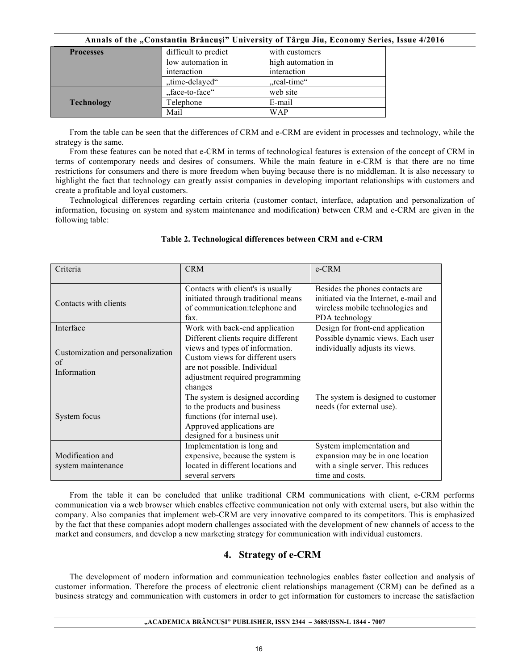| <b>Processes</b>  | difficult to predict | with customers     |
|-------------------|----------------------|--------------------|
|                   | low automation in    | high automation in |
|                   | interaction          | interaction        |
|                   | "time-delayed"       | "real-time"        |
| <b>Technology</b> | "face-to-face"       | web site           |
|                   | Telephone            | E-mail             |
|                   | Mail                 | <b>WAP</b>         |

From the table can be seen that the differences of CRM and e-CRM are evident in processes and technology, while the strategy is the same.

From these features can be noted that e-CRM in terms of technological features is extension of the concept of CRM in terms of contemporary needs and desires of consumers. While the main feature in e-CRM is that there are no time restrictions for consumers and there is more freedom when buying because there is no middleman. It is also necessary to highlight the fact that technology can greatly assist companies in developing important relationships with customers and create a profitable and loyal customers.

Technological differences regarding certain criteria (customer contact, interface, adaptation and personalization of information, focusing on system and system maintenance and modification) between CRM and e-CRM are given in the following table:

| Criteria                                               | <b>CRM</b>                                                                                                                                                                               | e-CRM                                                                                                                           |
|--------------------------------------------------------|------------------------------------------------------------------------------------------------------------------------------------------------------------------------------------------|---------------------------------------------------------------------------------------------------------------------------------|
| Contacts with clients                                  | Contacts with client's is usually<br>initiated through traditional means<br>of communication: telephone and<br>fax.                                                                      | Besides the phones contacts are<br>initiated via the Internet, e-mail and<br>wireless mobile technologies and<br>PDA technology |
| Interface                                              | Work with back-end application                                                                                                                                                           | Design for front-end application                                                                                                |
| Customization and personalization<br>of<br>Information | Different clients require different<br>views and types of information.<br>Custom views for different users<br>are not possible. Individual<br>adjustment required programming<br>changes | Possible dynamic views. Each user<br>individually adjusts its views.                                                            |
| System focus                                           | The system is designed according<br>to the products and business<br>functions (for internal use).<br>Approved applications are<br>designed for a business unit                           | The system is designed to customer<br>needs (for external use).                                                                 |
| Modification and<br>system maintenance                 | Implementation is long and<br>expensive, because the system is<br>located in different locations and<br>several servers                                                                  | System implementation and<br>expansion may be in one location<br>with a single server. This reduces<br>time and costs.          |

## **Table 2. Technological differences between CRM and e-CRM**

From the table it can be concluded that unlike traditional CRM communications with client, e-CRM performs communication via a web browser which enables effective communication not only with external users, but also within the company. Also companies that implement web-CRM are very innovative compared to its competitors. This is emphasized by the fact that these companies adopt modern challenges associated with the development of new channels of access to the market and consumers, and develop a new marketing strategy for communication with individual customers.

# **4. Strategy of e-CRM**

The development of modern information and communication technologies enables faster collection and analysis of customer information. Therefore the process of electronic client relationships management (CRM) can be defined as a business strategy and communication with customers in order to get information for customers to increase the satisfaction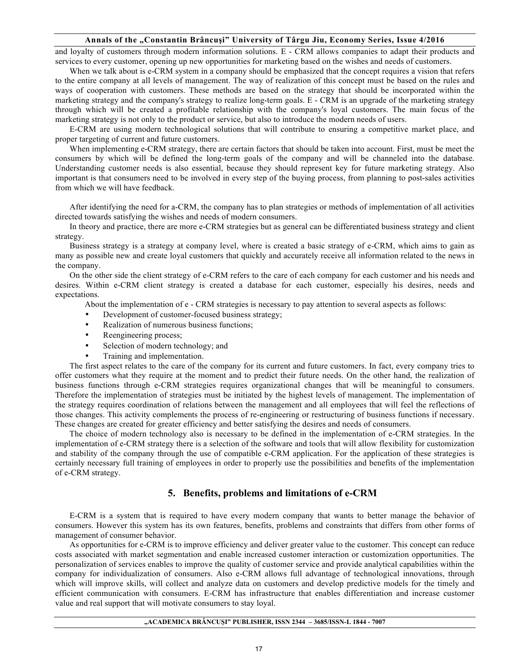and loyalty of customers through modern information solutions. E - CRM allows companies to adapt their products and services to every customer, opening up new opportunities for marketing based on the wishes and needs of customers.

When we talk about is e-CRM system in a company should be emphasized that the concept requires a vision that refers to the entire company at all levels of management. The way of realization of this concept must be based on the rules and ways of cooperation with customers. These methods are based on the strategy that should be incorporated within the marketing strategy and the company's strategy to realize long-term goals. E - CRM is an upgrade of the marketing strategy through which will be created a profitable relationship with the company's loyal customers. The main focus of the marketing strategy is not only to the product or service, but also to introduce the modern needs of users.

E-CRM are using modern technological solutions that will contribute to ensuring a competitive market place, and proper targeting of current and future customers.

When implementing e-CRM strategy, there are certain factors that should be taken into account. First, must be meet the consumers by which will be defined the long-term goals of the company and will be channeled into the database. Understanding customer needs is also essential, because they should represent key for future marketing strategy. Also important is that consumers need to be involved in every step of the buying process, from planning to post-sales activities from which we will have feedback.

After identifying the need for a-CRM, the company has to plan strategies or methods of implementation of all activities directed towards satisfying the wishes and needs of modern consumers.

In theory and practice, there are more e-CRM strategies but as general can be differentiated business strategy and client strategy.

Business strategy is a strategy at company level, where is created a basic strategy of e-CRM, which aims to gain as many as possible new and create loyal customers that quickly and accurately receive all information related to the news in the company.

On the other side the client strategy of e-CRM refers to the care of each company for each customer and his needs and desires. Within e-CRM client strategy is created a database for each customer, especially his desires, needs and expectations.

About the implementation of e - CRM strategies is necessary to pay attention to several aspects as follows:

- Development of customer-focused business strategy;
- Realization of numerous business functions;
- Reengineering process;
- Selection of modern technology; and
- Training and implementation.

The first aspect relates to the care of the company for its current and future customers. In fact, every company tries to offer customers what they require at the moment and to predict their future needs. On the other hand, the realization of business functions through e-CRM strategies requires organizational changes that will be meaningful to consumers. Therefore the implementation of strategies must be initiated by the highest levels of management. The implementation of the strategy requires coordination of relations between the management and all employees that will feel the reflections of those changes. This activity complements the process of re-engineering or restructuring of business functions if necessary. These changes are created for greater efficiency and better satisfying the desires and needs of consumers.

The choice of modern technology also is necessary to be defined in the implementation of e-CRM strategies. In the implementation of e-CRM strategy there is a selection of the software and tools that will allow flexibility for customization and stability of the company through the use of compatible e-CRM application. For the application of these strategies is certainly necessary full training of employees in order to properly use the possibilities and benefits of the implementation of e-CRM strategy.

## **5. Benefits, problems and limitations of e-CRM**

E-CRM is a system that is required to have every modern company that wants to better manage the behavior of consumers. However this system has its own features, benefits, problems and constraints that differs from other forms of management of consumer behavior.

As opportunities for e-CRM is to improve efficiency and deliver greater value to the customer. This concept can reduce costs associated with market segmentation and enable increased customer interaction or customization opportunities. The personalization of services enables to improve the quality of customer service and provide analytical capabilities within the company for individualization of consumers. Also e-CRM allows full advantage of technological innovations, through which will improve skills, will collect and analyze data on customers and develop predictive models for the timely and efficient communication with consumers. E-CRM has infrastructure that enables differentiation and increase customer value and real support that will motivate consumers to stay loyal.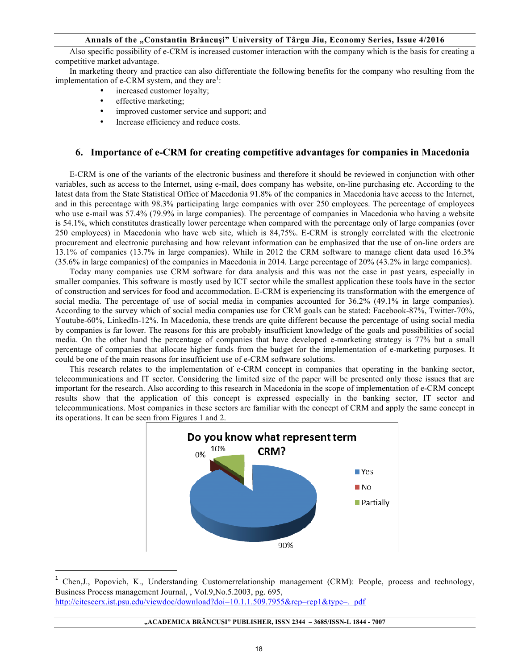Also specific possibility of e-CRM is increased customer interaction with the company which is the basis for creating a competitive market advantage.

In marketing theory and practice can also differentiate the following benefits for the company who resulting from the implementation of  $e$ -CRM system, and they are<sup>1</sup>:

- increased customer loyalty;
- effective marketing;

<u> 1989 - Johann Barn, mars eta bat erroman erroman erroman erroman erroman erroman erroman erroman erroman err</u>

- improved customer service and support; and
- Increase efficiency and reduce costs.

# **6. Importance of e-CRM for creating competitive advantages for companies in Macedonia**

E-CRM is one of the variants of the electronic business and therefore it should be reviewed in conjunction with other variables, such as access to the Internet, using e-mail, does company has website, on-line purchasing etc. According to the latest data from the State Statistical Office of Macedonia 91.8% of the companies in Macedonia have access to the Internet, and in this percentage with 98.3% participating large companies with over 250 employees. The percentage of employees who use e-mail was 57.4% (79.9% in large companies). The percentage of companies in Macedonia who having a website is 54.1%, which constitutes drastically lower percentage when compared with the percentage only of large companies (over 250 employees) in Macedonia who have web site, which is 84,75%. E-CRM is strongly correlated with the electronic procurement and electronic purchasing and how relevant information can be emphasized that the use of on-line orders are 13.1% of companies (13.7% in large companies). While in 2012 the CRM software to manage client data used 16.3% (35.6% in large companies) of the companies in Macedonia in 2014. Large percentage of 20% (43.2% in large companies).

Today many companies use CRM software for data analysis and this was not the case in past years, especially in smaller companies. This software is mostly used by ICT sector while the smallest application these tools have in the sector of construction and services for food and accommodation. E-CRM is experiencing its transformation with the emergence of social media. The percentage of use of social media in companies accounted for 36.2% (49.1% in large companies). According to the survey which of social media companies use for CRM goals can be stated: Facebook-87%, Twitter-70%, Youtube-60%, LinkedIn-12%. In Macedonia, these trends are quite different because the percentage of using social media by companies is far lower. The reasons for this are probably insufficient knowledge of the goals and possibilities of social media. On the other hand the percentage of companies that have developed e-marketing strategy is 77% but a small percentage of companies that allocate higher funds from the budget for the implementation of e-marketing purposes. It could be one of the main reasons for insufficient use of e-CRM software solutions.

This research relates to the implementation of e-CRM concept in companies that operating in the banking sector, telecommunications and IT sector. Considering the limited size of the paper will be presented only those issues that are important for the research. Also according to this research in Macedonia in the scope of implementation of e-CRM concept results show that the application of this concept is expressed especially in the banking sector, IT sector and telecommunications. Most companies in these sectors are familiar with the concept of CRM and apply the same concept in its operations. It can be seen from Figures 1 and 2.



<sup>&</sup>lt;sup>1</sup> Chen,J., Popovich, K., Understanding Customerrelationship management (CRM): People, process and technology, Business Process management Journal, , Vol.9,No.5.2003, pg. 695, http://citeseerx.ist.psu.edu/viewdoc/download?doi=10.1.1.509.7955&rep=rep1&type=. pdf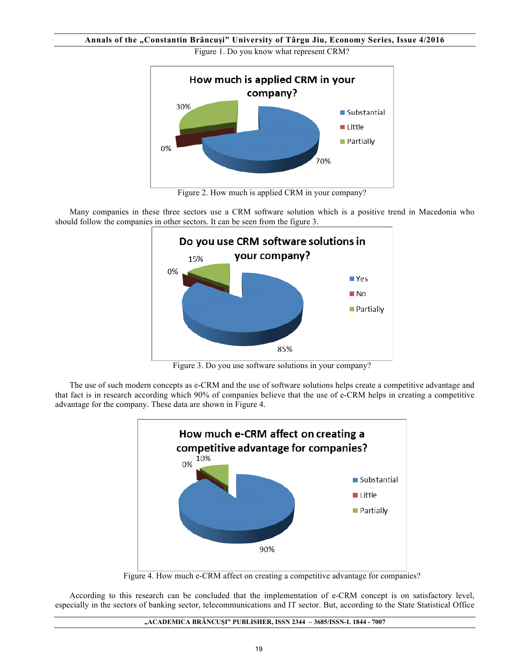**Annals of the "Constantin Brâncuşi" University of Târgu Jiu, Economy Series, Issue 4/2016** Figure 1. Do you know what represent CRM?



Figure 2. How much is applied CRM in your company?

Many companies in these three sectors use a CRM software solution which is a positive trend in Macedonia who should follow the companies in other sectors. It can be seen from the figure 3.



Figure 3. Do you use software solutions in your company?

The use of such modern concepts as e-CRM and the use of software solutions helps create a competitive advantage and that fact is in research according which 90% of companies believe that the use of e-CRM helps in creating a competitive advantage for the company. These data are shown in Figure 4.

![](_page_7_Figure_7.jpeg)

Figure 4. How much e-CRM affect on creating a competitive advantage for companies?

According to this research can be concluded that the implementation of e-CRM concept is on satisfactory level, especially in the sectors of banking sector, telecommunications and IT sector. But, according to the State Statistical Office